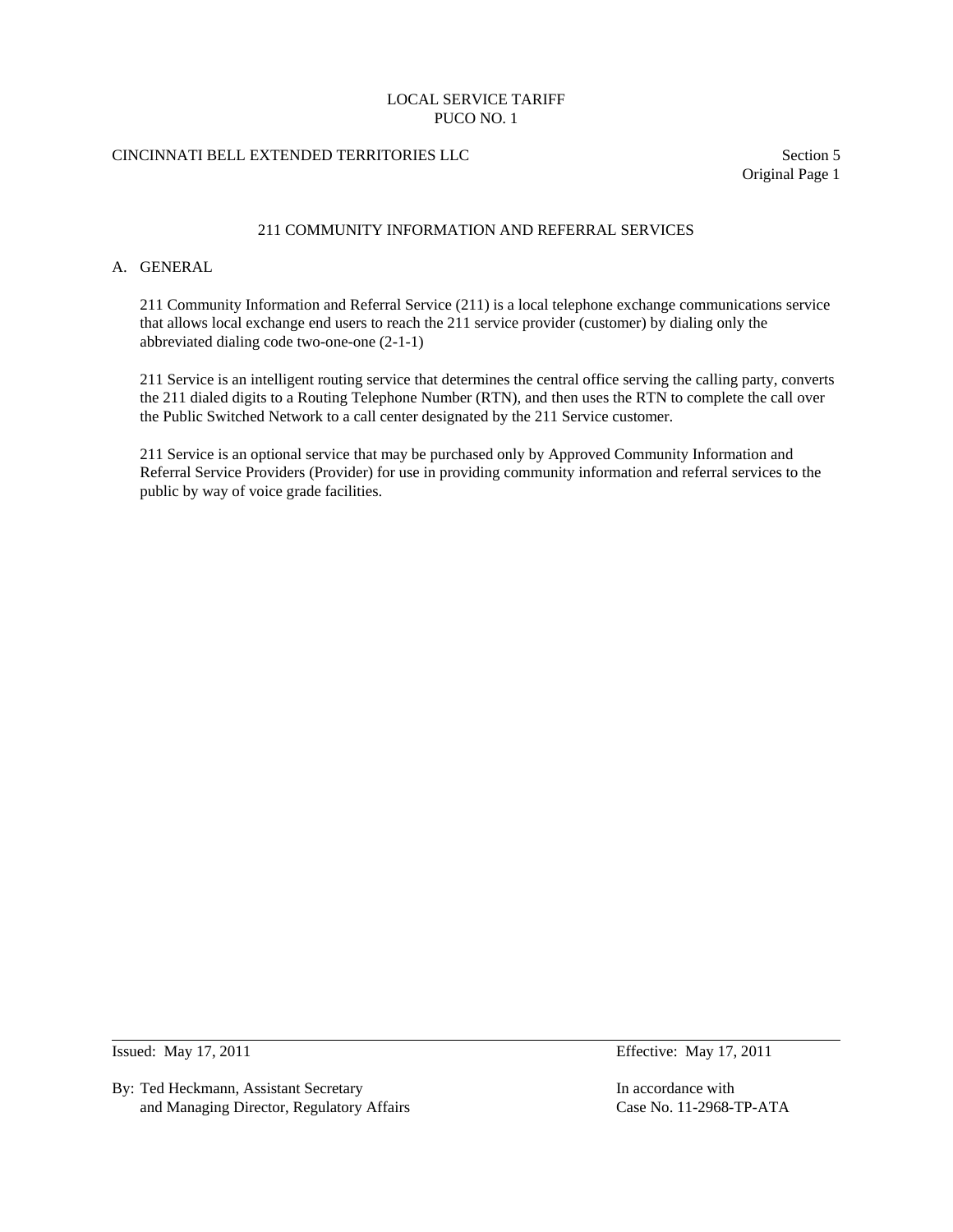# CINCINNATI BELL EXTENDED TERRITORIES LLC Section 5

Original Page 1

### 211 COMMUNITY INFORMATION AND REFERRAL SERVICES

### A. GENERAL

 211 Community Information and Referral Service (211) is a local telephone exchange communications service that allows local exchange end users to reach the 211 service provider (customer) by dialing only the abbreviated dialing code two-one-one (2-1-1)

 211 Service is an intelligent routing service that determines the central office serving the calling party, converts the 211 dialed digits to a Routing Telephone Number (RTN), and then uses the RTN to complete the call over the Public Switched Network to a call center designated by the 211 Service customer.

 211 Service is an optional service that may be purchased only by Approved Community Information and Referral Service Providers (Provider) for use in providing community information and referral services to the public by way of voice grade facilities.

 $\overline{a}$ 

By: Ted Heckmann, Assistant Secretary **In accordance with** In accordance with and Managing Director, Regulatory Affairs Case No. 11-2968-TP-ATA

Issued: May 17, 2011 **Effective: May 17, 2011**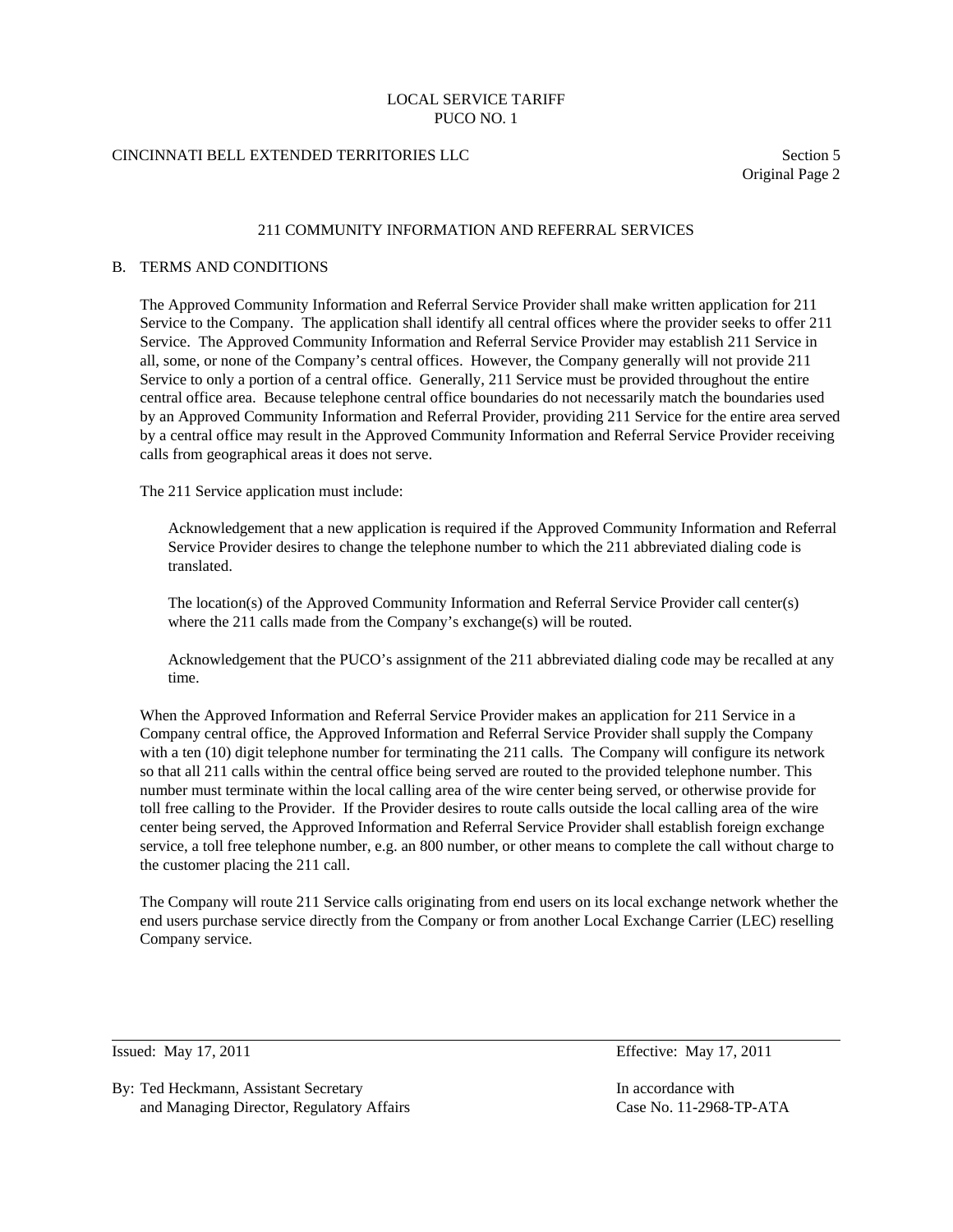### CINCINNATI BELL EXTENDED TERRITORIES LLC Section 5

Original Page 2

### 211 COMMUNITY INFORMATION AND REFERRAL SERVICES

#### B. TERMS AND CONDITIONS

 The Approved Community Information and Referral Service Provider shall make written application for 211 Service to the Company. The application shall identify all central offices where the provider seeks to offer 211 Service. The Approved Community Information and Referral Service Provider may establish 211 Service in all, some, or none of the Company's central offices. However, the Company generally will not provide 211 Service to only a portion of a central office. Generally, 211 Service must be provided throughout the entire central office area. Because telephone central office boundaries do not necessarily match the boundaries used by an Approved Community Information and Referral Provider, providing 211 Service for the entire area served by a central office may result in the Approved Community Information and Referral Service Provider receiving calls from geographical areas it does not serve.

The 211 Service application must include:

 Acknowledgement that a new application is required if the Approved Community Information and Referral Service Provider desires to change the telephone number to which the 211 abbreviated dialing code is translated.

 The location(s) of the Approved Community Information and Referral Service Provider call center(s) where the 211 calls made from the Company's exchange(s) will be routed.

 Acknowledgement that the PUCO's assignment of the 211 abbreviated dialing code may be recalled at any time.

 When the Approved Information and Referral Service Provider makes an application for 211 Service in a Company central office, the Approved Information and Referral Service Provider shall supply the Company with a ten (10) digit telephone number for terminating the 211 calls. The Company will configure its network so that all 211 calls within the central office being served are routed to the provided telephone number. This number must terminate within the local calling area of the wire center being served, or otherwise provide for toll free calling to the Provider. If the Provider desires to route calls outside the local calling area of the wire center being served, the Approved Information and Referral Service Provider shall establish foreign exchange service, a toll free telephone number, e.g. an 800 number, or other means to complete the call without charge to the customer placing the 211 call.

 The Company will route 211 Service calls originating from end users on its local exchange network whether the end users purchase service directly from the Company or from another Local Exchange Carrier (LEC) reselling Company service.

 $\overline{a}$ 

By: Ted Heckmann, Assistant Secretary **In accordance with** In accordance with and Managing Director, Regulatory Affairs Case No. 11-2968-TP-ATA

Issued: May 17, 2011 Effective: May 17, 2011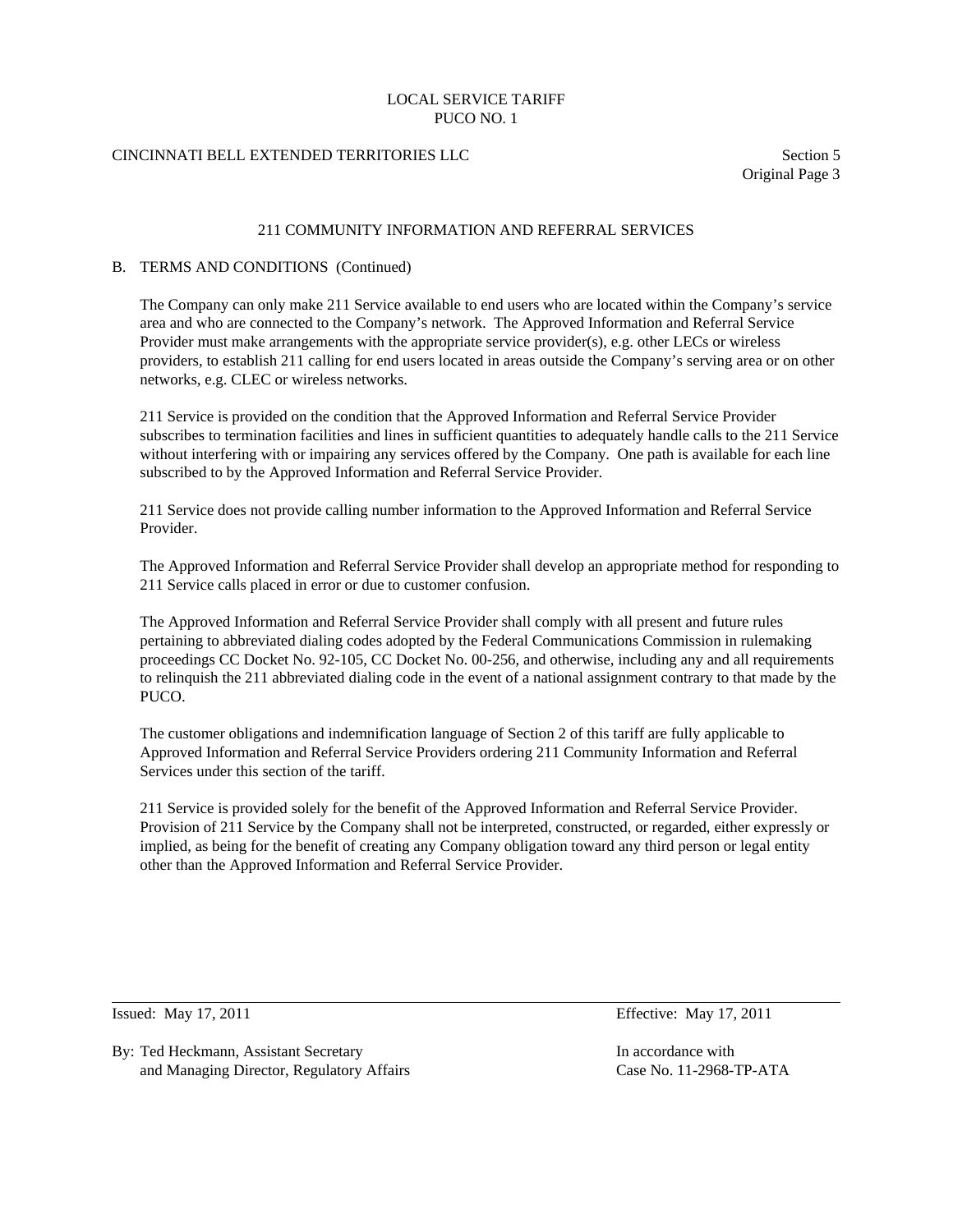# CINCINNATI BELL EXTENDED TERRITORIES LLC Section 5

Original Page 3

### 211 COMMUNITY INFORMATION AND REFERRAL SERVICES

### B. TERMS AND CONDITIONS (Continued)

 The Company can only make 211 Service available to end users who are located within the Company's service area and who are connected to the Company's network. The Approved Information and Referral Service Provider must make arrangements with the appropriate service provider(s), e.g. other LECs or wireless providers, to establish 211 calling for end users located in areas outside the Company's serving area or on other networks, e.g. CLEC or wireless networks.

 211 Service is provided on the condition that the Approved Information and Referral Service Provider subscribes to termination facilities and lines in sufficient quantities to adequately handle calls to the 211 Service without interfering with or impairing any services offered by the Company. One path is available for each line subscribed to by the Approved Information and Referral Service Provider.

 211 Service does not provide calling number information to the Approved Information and Referral Service Provider.

 The Approved Information and Referral Service Provider shall develop an appropriate method for responding to 211 Service calls placed in error or due to customer confusion.

 The Approved Information and Referral Service Provider shall comply with all present and future rules pertaining to abbreviated dialing codes adopted by the Federal Communications Commission in rulemaking proceedings CC Docket No. 92-105, CC Docket No. 00-256, and otherwise, including any and all requirements to relinquish the 211 abbreviated dialing code in the event of a national assignment contrary to that made by the PUCO.

 The customer obligations and indemnification language of Section 2 of this tariff are fully applicable to Approved Information and Referral Service Providers ordering 211 Community Information and Referral Services under this section of the tariff.

 211 Service is provided solely for the benefit of the Approved Information and Referral Service Provider. Provision of 211 Service by the Company shall not be interpreted, constructed, or regarded, either expressly or implied, as being for the benefit of creating any Company obligation toward any third person or legal entity other than the Approved Information and Referral Service Provider.

 $\overline{a}$ 

Issued: May 17, 2011 **Effective: May 17, 2011** 

By: Ted Heckmann, Assistant Secretary **In accordance with** In accordance with and Managing Director, Regulatory Affairs Case No. 11-2968-TP-ATA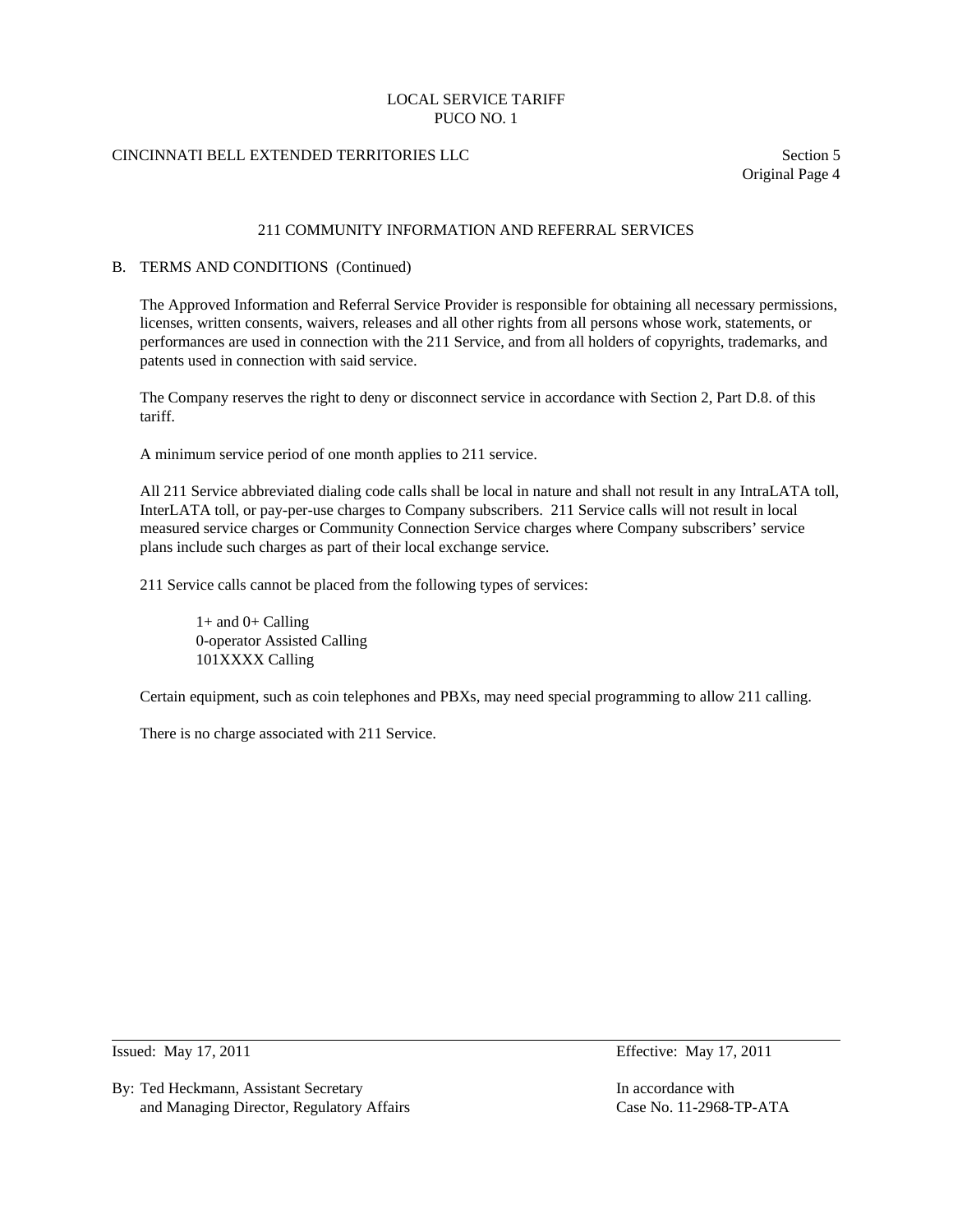# CINCINNATI BELL EXTENDED TERRITORIES LLC Section 5

Original Page 4

### 211 COMMUNITY INFORMATION AND REFERRAL SERVICES

#### B. TERMS AND CONDITIONS (Continued)

 The Approved Information and Referral Service Provider is responsible for obtaining all necessary permissions, licenses, written consents, waivers, releases and all other rights from all persons whose work, statements, or performances are used in connection with the 211 Service, and from all holders of copyrights, trademarks, and patents used in connection with said service.

 The Company reserves the right to deny or disconnect service in accordance with Section 2, Part D.8. of this tariff.

A minimum service period of one month applies to 211 service.

 All 211 Service abbreviated dialing code calls shall be local in nature and shall not result in any IntraLATA toll, InterLATA toll, or pay-per-use charges to Company subscribers. 211 Service calls will not result in local measured service charges or Community Connection Service charges where Company subscribers' service plans include such charges as part of their local exchange service.

211 Service calls cannot be placed from the following types of services:

 $1+$  and  $0+$  Calling 0-operator Assisted Calling 101XXXX Calling

Certain equipment, such as coin telephones and PBXs, may need special programming to allow 211 calling.

There is no charge associated with 211 Service.

Issued: May 17, 2011 Effective: May 17, 2011

 $\overline{a}$ 

By: Ted Heckmann, Assistant Secretary In accordance with In accordance with and Managing Director, Regulatory Affairs Case No. 11-2968-TP-ATA